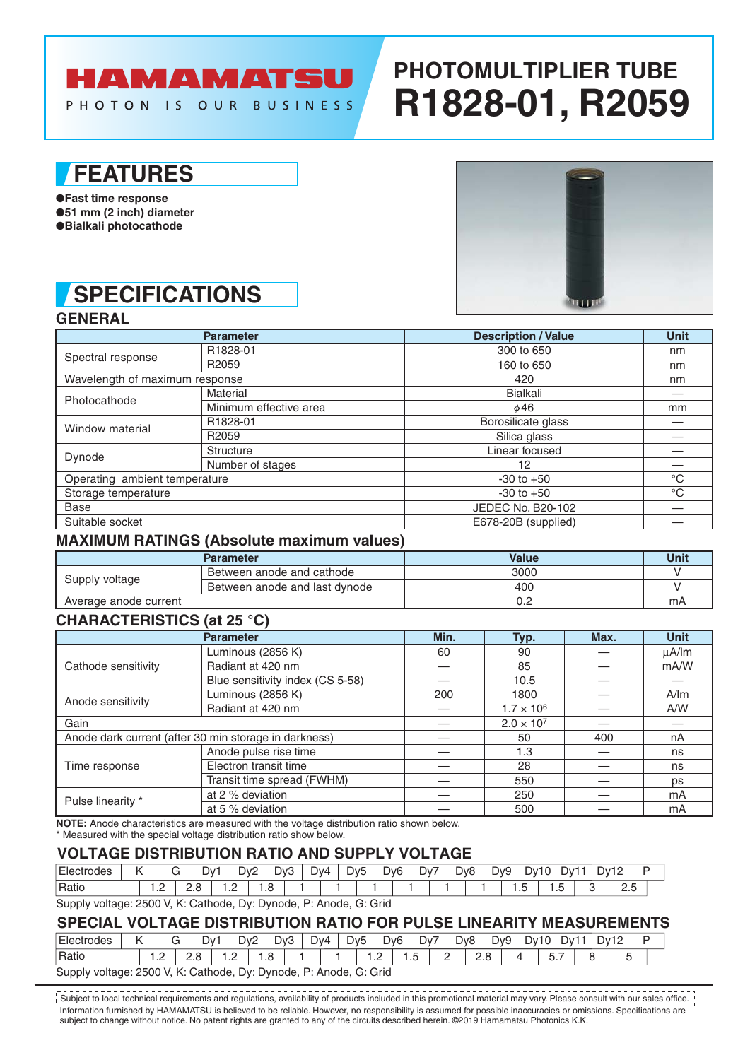# HAMAMATSU

PHOTON IS OUR BUSINESS

# **PHOTOMULTIPLIER TUBE R1828-01, R2059**

### **FEATURES**

●**Fast time response** ●**51 mm (2 inch) diameter** ●**Bialkali photocathode**

# **SPECIFICATIONS**



### **GENERAL**

|                                | <b>Parameter</b>       | <b>Description / Value</b> | <b>Unit</b> |
|--------------------------------|------------------------|----------------------------|-------------|
| Spectral response              | R1828-01               | 300 to 650                 | nm          |
|                                | R <sub>2059</sub>      | 160 to 650                 | nm          |
| Wavelength of maximum response |                        | 420                        | nm          |
| Photocathode                   | Material               | <b>Bialkali</b>            |             |
|                                | Minimum effective area | $\phi$ 46                  | mm          |
| Window material                | R1828-01               | Borosilicate glass         |             |
|                                | R <sub>2059</sub>      | Silica glass               |             |
|                                | Structure              | Linear focused             |             |
| Dynode                         | Number of stages       | 12                         |             |
| Operating ambient temperature  |                        | $-30$ to $+50$             | $^{\circ}C$ |
| Storage temperature            |                        | $-30$ to $+50$             | $^{\circ}C$ |
| Base                           |                        | JEDEC No. B20-102          |             |
| Suitable socket                |                        | E678-20B (supplied)        |             |

#### **MAXIMUM RATINGS (Absolute maximum values)**

|                       | <b>Parameter</b>              | <b>Value</b> | Unit |
|-----------------------|-------------------------------|--------------|------|
|                       | Between anode and cathode     | 3000         |      |
| Supply voltage        | Between anode and last dynode | 400          |      |
| Average anode current |                               | ∪.∠          | mA   |

### **CHARACTERISTICS (at 25 °C)**

|                     | <b>Parameter</b>                                      | Min. | Typ.                | Max.                                                  | <b>Unit</b> |
|---------------------|-------------------------------------------------------|------|---------------------|-------------------------------------------------------|-------------|
|                     | Luminous (2856 K)                                     | 60   | 90                  |                                                       | $\mu$ A/Im  |
| Cathode sensitivity | Radiant at 420 nm                                     |      | 85                  |                                                       | mA/W        |
|                     | Blue sensitivity index (CS 5-58)                      |      | 10.5                |                                                       |             |
|                     | Luminous (2856 K)                                     | 200  | 1800                | A/m<br>A/W<br>400<br>nA<br>ns<br>ns<br>ps<br>mA<br>mA |             |
| Anode sensitivity   | Radiant at 420 nm                                     |      | $1.7 \times 10^{6}$ |                                                       |             |
| Gain                |                                                       |      | $2.0 \times 10^{7}$ |                                                       |             |
|                     | Anode dark current (after 30 min storage in darkness) |      | 50                  |                                                       |             |
|                     | Anode pulse rise time                                 |      | 1.3                 |                                                       |             |
| Time response       | Electron transit time                                 |      | 28                  |                                                       |             |
|                     | Transit time spread (FWHM)                            |      | 550                 |                                                       |             |
| Pulse linearity *   | at 2 % deviation                                      |      | 250                 |                                                       |             |
|                     | at 5 % deviation                                      |      | 500                 |                                                       |             |

**NOTE:** Anode characteristics are measured with the voltage distribution ratio shown below.

\* Measured with the special voltage distribution ratio show below.

#### **VOLTAGE DISTRIBUTION RATIO AND SUPPLY VOLTAGE**

| Electrodes | 17 |     |                     | Dv |   | D <sub>v</sub> 2 | Dv3  |  | Dv4 | D <sub>v</sub> <sub>5</sub> |  | D <sub>v</sub> 6 | Dv7 |  | D <sub>v</sub> 8 | Dv9 | Dv10 |                         | Dv1 | <b>Dv12</b> | . .                |  |
|------------|----|-----|---------------------|----|---|------------------|------|--|-----|-----------------------------|--|------------------|-----|--|------------------|-----|------|-------------------------|-----|-------------|--------------------|--|
| Ratic      |    | ے ، | <u>. . u</u><br>___ |    | . | $\sim$           | I .C |  |     |                             |  |                  |     |  |                  |     | ں ،  | ∽<br>$\cdot\cdot$<br>__ |     |             | $\sim$<br>ت<br>___ |  |
|            |    |     |                     |    |   |                  |      |  |     |                             |  |                  |     |  |                  |     |      |                         |     |             |                    |  |

Supply voltage: 2500 V, K: Cathode, Dy: Dynode, P: Anode, G: Grid

#### **SPECIAL VOLTAGE DISTRIBUTION RATIO FOR PULSE LINEARITY MEASUREMENTS**

| ⊺Electrodes | v<br>'                                                            |   |     | D۷.           | Dv2 | Dv3  |  | Dv4 | D <sub>v</sub> <sub>5</sub> |              | D <sub>v</sub> 6 | Dv7 | D <sub>v</sub> 8 |           | Dv9 | Dv10 | י∨∪ | <b>Dv12</b> |   | - |
|-------------|-------------------------------------------------------------------|---|-----|---------------|-----|------|--|-----|-----------------------------|--------------|------------------|-----|------------------|-----------|-----|------|-----|-------------|---|---|
| 'Ratio      |                                                                   | . | ے ۔ | $\sim$<br>$-$ |     | . .8 |  |     |                             | . . <u>.</u> | . ت              |     | -                | റ ഠ<br>ے. |     |      | ິ.  |             | ◡ |   |
|             | Supply voltage: 2500 V, K: Cathode, Dy: Dynode, P: Anode, G: Grid |   |     |               |     |      |  |     |                             |              |                  |     |                  |           |     |      |     |             |   |   |

Information furnished by HAMAMATSU is believed to be reliable. However, no responsibility is assumed for possible inaccuracies or omissions. Specifications are subject to change without notice. No patent rights are granted to any of the circuits described herein. ©2019 Hamamatsu Photonics K.K. Subject to local technical requirements and regulations, availability of products included in this promotional material may vary. Please consult with our sales office.